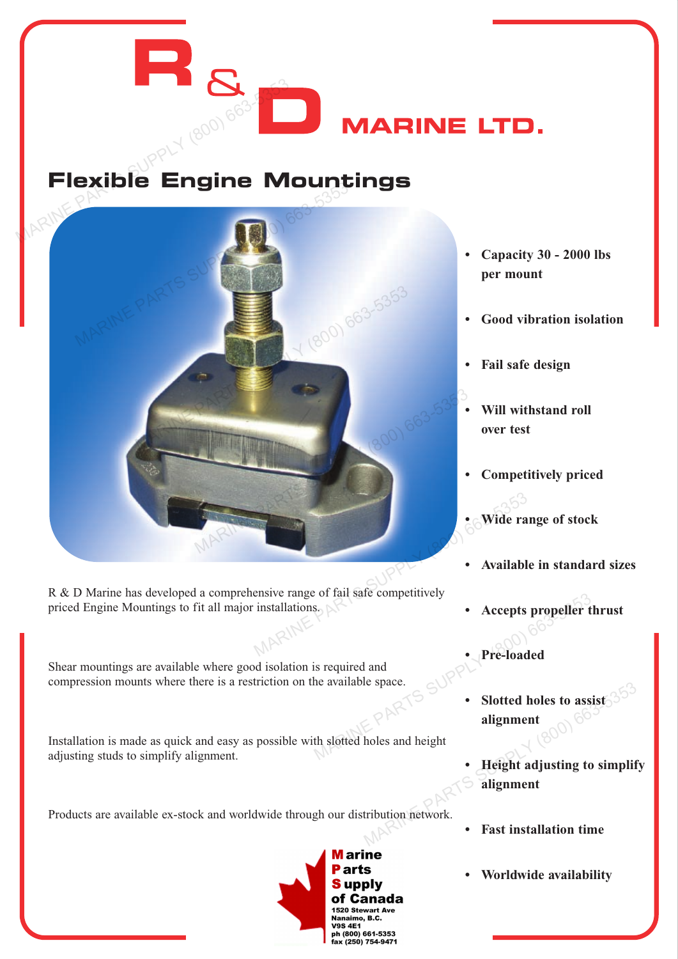## **Flexible Engine Mountings**



R & D Marine has developed a comprehensive range of fail safe competitively priced Engine Mountings to fit all major installations.

Shear mountings are available where good isolation is required and compression mounts where there is a restriction on the available space.

Installation is made as quick and easy as possible with slotted holes and height adjusting studs to simplify alignment.

Products are available ex-stock and worldwide through our distribution network.



- **Capacity 30 2000 lbs per mount**
- **Good vibration isolation**
- **Fail safe design**

**MARINE LTD.** 

- **Will withstand roll over test**
- **Competitively priced**
- **Wide range of stock**
- **Available in standard sizes**
- **Accepts propeller thrust**
- **Pre-loaded**
- **Slotted holes to assist alignment**  $\begin{array}{r} \text{s.} \\ \text{S.} \\ \text{A.} \\ \text{S.} \\ \text{S.} \\ \text{D.} \\ \text{D.} \\ \text{D.} \\ \text{E.} \\ \text{D.} \\ \text{E.} \\ \text{D.} \\ \text{E.} \\ \text{E.} \\ \text{D.} \\ \text{E.} \\ \text{E.} \\ \text{E.} \\ \text{D.} \\ \text{E.} \\ \text{E.} \\ \text{E.} \\ \text{E.} \\ \text{E.} \\ \text{E.} \\ \text{E.} \\ \text{E.} \\ \text{E.} \\ \text{E.} \\ \text{E.} \\ \text{E$ 
	- **Height adjusting to simplify alignment**  $R^{\text{R}}$ <br>
	MARINE PARTS SUPPLY (800) 663553333<br>
	Moles and height<br>  $\bullet$  Height adjusting to simplify<br>
	alignment<br>
	tribution network.<br>
	Fast installation time<br>  $\bullet$  Fast installation time
		- **Fast installation time**
		- **Worldwide availability**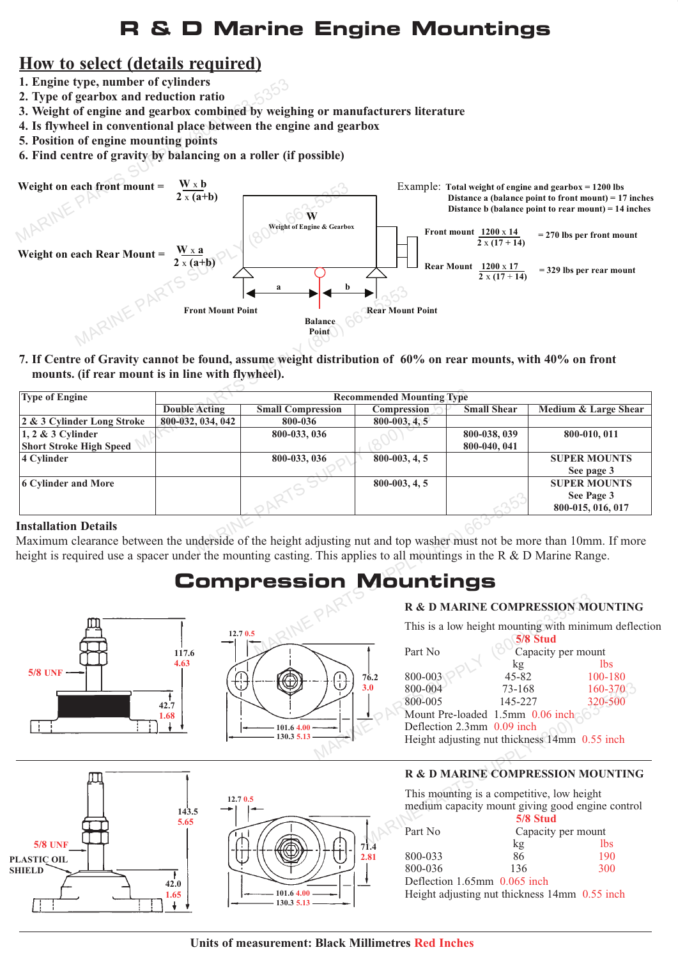## **R & D Marine Engine Mountings**

### **How to select (details required)**

- **1. Engine type, number of cylinders**
- **2. Type of gearbox and reduction ratio**
- **3. Weight of engine and gearbox combined by weighing or manufacturers literature**
- **4. Is flywheel in conventional place between the engine and gearbox**
- **5. Position of engine mounting points**
- **6. Find centre of gravity by balancing on a roller (if possible)**



**7. If Centre of Gravity cannot be found, assume weight distribution of 60% on rear mounts, with 40% on front mounts. (if rear mount is in line with flywheel).**

| <b>Type of Engine</b>                                                                                                                                                                                                                                                                                                                                                                                                      | <b>Recommended Mounting Type</b> |                          |                   |                    |                      |
|----------------------------------------------------------------------------------------------------------------------------------------------------------------------------------------------------------------------------------------------------------------------------------------------------------------------------------------------------------------------------------------------------------------------------|----------------------------------|--------------------------|-------------------|--------------------|----------------------|
|                                                                                                                                                                                                                                                                                                                                                                                                                            | <b>Double Acting</b>             | <b>Small Compression</b> | Compression       | <b>Small Shear</b> | Medium & Large Shear |
| 2 & 3 Cylinder Long Stroke                                                                                                                                                                                                                                                                                                                                                                                                 | 800-032, 034, 042                | 800-036                  | $800 - 003, 4, 5$ |                    |                      |
| $\vert 1, 2 \& 3$ Cylinder                                                                                                                                                                                                                                                                                                                                                                                                 |                                  | 800-033, 036             |                   | 800-038, 039       | 800-010, 011         |
| <b>Short Stroke High Speed</b>                                                                                                                                                                                                                                                                                                                                                                                             |                                  |                          |                   | 800-040, 041       |                      |
| 4 Cylinder                                                                                                                                                                                                                                                                                                                                                                                                                 |                                  | 800-033, 036             | $800 - 003, 4, 5$ |                    | <b>SUPER MOUNTS</b>  |
|                                                                                                                                                                                                                                                                                                                                                                                                                            |                                  |                          |                   |                    | See page 3           |
| 6 Cylinder and More                                                                                                                                                                                                                                                                                                                                                                                                        |                                  |                          | $800 - 003, 4, 5$ |                    | <b>SUPER MOUNTS</b>  |
|                                                                                                                                                                                                                                                                                                                                                                                                                            |                                  |                          |                   |                    | See Page 3           |
|                                                                                                                                                                                                                                                                                                                                                                                                                            |                                  |                          |                   |                    | 800-015, 016, 017    |
| <b>Installation Details</b>                                                                                                                                                                                                                                                                                                                                                                                                |                                  |                          |                   |                    |                      |
| Maximum clearance between the underside of the height adjusting nut and top washer must not be more than 10mm. If more<br>$\mathbf{1}$ and $\mathbf{1}$ and $\mathbf{1}$ and $\mathbf{1}$ and $\mathbf{1}$ and $\mathbf{1}$ and $\mathbf{1}$ and $\mathbf{1}$ and $\mathbf{1}$ and $\mathbf{1}$ and $\mathbf{1}$ and $\mathbf{1}$ and $\mathbf{1}$ and $\mathbf{1}$ and $\mathbf{1}$ and $\mathbf{1}$ and $\mathbf{1}$ and |                                  |                          |                   |                    |                      |

#### **Installation Details**

Maximum clearance between the underside of the height adjusting nut and top washer must not be more than 10mm. If more height is required use a spacer under the mounting casting. This applies to all mountings in the R  $\&$  D Marine Range. PARTS SUPPLY (800)<br>
THE PARTS SUPPLY (800) 663-635353536<br>
MOUNTINGS<br>
R& D MARINE COMPRI<br>
This is a low height mounting<br>
Part No (80<sup>0)</sup>

## **Compression Mountings**







|             | R & D MARINE COMPRESSION MOUNTING                                                                               |                                      |                        |
|-------------|-----------------------------------------------------------------------------------------------------------------|--------------------------------------|------------------------|
|             | This is a low height mounting with minimum defleo                                                               | 5/8 Stud                             |                        |
|             | Part No                                                                                                         | Capacity per mount<br>kg             | lbs.                   |
| 76.2<br>3.0 | 800-003<br>800-004                                                                                              | $45 - 82$<br>73-168                  | $100 - 180$<br>160-370 |
|             | 800-005                                                                                                         | 145-227                              | 320-500                |
|             | Mount Pre-loaded 1.5mm 0.06 inch<br>Deflection 2.3mm 0.09 inch<br>Height adjusting nut thickness 14mm 0.55 inch |                                      |                        |
|             | R & D MARINE COMPRESSION MOUNTING                                                                               |                                      |                        |
|             | This mounting is a competitive, low height<br>medium capacity mount giving good engine control                  |                                      |                        |
|             | Part No                                                                                                         | 5/8 Stud<br>Capacity per mount<br>kσ | lbs                    |



#### **R & D MARINE COMPRESSION MOUNTING**

|         | 5/8 Stud                                      |                    |  |  |
|---------|-----------------------------------------------|--------------------|--|--|
| Part No |                                               | Capacity per mount |  |  |
|         | kg                                            | <i>lbs</i>         |  |  |
| 800-033 | 86                                            | 190                |  |  |
| 800-036 | 136                                           | 300                |  |  |
|         | Deflection 1.65mm 0.065 inch                  |                    |  |  |
|         | Height adjusting nut thickness 14mm 0.55 inch |                    |  |  |

**Units of measurement: Black Millimetres Red Inches**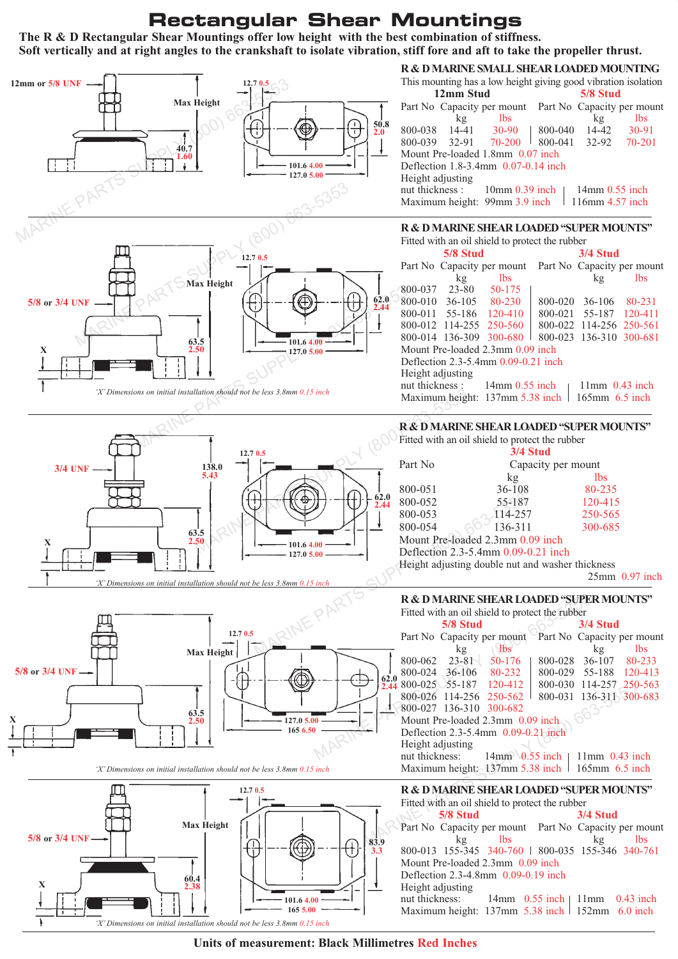## **R & D Marine Engine Mountings Rectangular Shear Mountings**

**The R & D Rectangular Shear Mountings offer low height with the best combination of stiffness. Soft vertically and at right angles to the crankshaft to isolate vibration, stiff fore and aft to take the propeller thrust.**







*'X' Dimensions on initial installation should not be less 3.8mm 0.15 inch*



#### **R & D MARINE SMALL SHEAR LOADED MOUNTING**

| This mounting has a low height giving good vibration isolation |    |                                |          |                  |                            |
|----------------------------------------------------------------|----|--------------------------------|----------|------------------|----------------------------|
| 12mm Stud                                                      |    |                                | 5/8 Stud |                  |                            |
|                                                                |    | Part No Capacity per mount     |          |                  | Part No Capacity per mount |
|                                                                | kg | <b>lbs</b>                     |          | kg               | <b>lbs</b>                 |
|                                                                |    | 800-038 14-41 30-90            | 800-040  |                  |                            |
|                                                                |    | 800-039 32-91 70-200           |          | 800-041 32-92    | 70-201                     |
| Mount Pre-loaded 1.8mm 0.07 inch                               |    |                                |          |                  |                            |
| Deflection $1.8 - 3.4$ mm $0.07 - 0.14$ inch                   |    |                                |          |                  |                            |
| Height adjusting                                               |    |                                |          |                  |                            |
|                                                                |    | nut thickness : 10mm 0.39 inch |          | $14mm$ 0.55 inch |                            |
|                                                                |    | Maximum height: 99mm 3.9 inch  |          | 116mm 4.57 inch  |                            |

#### **R & D MARINE SHEAR LOADED "SUPER MOUNTS"**

| Fitted with an oil shield to protect the rubber        |                                     |                                  |                 |                         |                            |
|--------------------------------------------------------|-------------------------------------|----------------------------------|-----------------|-------------------------|----------------------------|
|                                                        | 5/8 Stud                            |                                  | <b>3/4 Stud</b> |                         |                            |
|                                                        |                                     | Part No Capacity per mount       |                 |                         | Part No Capacity per mount |
|                                                        | kg                                  | <b>lbs</b>                       |                 | kg                      | <b>lbs</b>                 |
| 800-037                                                | 23-80                               | 50-175                           |                 |                         |                            |
|                                                        | 800-010 36-105 80-230               |                                  | 800-020         | 36-106                  | 80-231                     |
| 800-011                                                | 55-186 120-410                      |                                  | 800-021         | 55-187                  | 120-411                    |
|                                                        |                                     | 800-012 114-255 250-560          |                 | 800-022 114-256 250-561 |                            |
|                                                        | 800-014 136-309 300-680             |                                  |                 | 800-023 136-310 300-681 |                            |
|                                                        |                                     | Mount Pre-loaded 2.3mm 0.09 inch |                 |                         |                            |
|                                                        | Deflection 2.3-5.4mm 0.09-0.21 inch |                                  |                 |                         |                            |
| Height adjusting                                       |                                     |                                  |                 |                         |                            |
| nut thickness : $14mm$ 0.55 inch<br>$11mm$ 0.43 inch   |                                     |                                  |                 |                         |                            |
| Maximum height: 137mm 5.38 inch<br>$165$ mm $6.5$ inch |                                     |                                  |                 |                         |                            |

#### **R & D MARINE SHEAR LOADED "SUPER MOUNTS"**

Fitted with an oil shield to protect the rubber

|                                     | <b>3/4 Stud</b>                                                                                                                                                                                                                                                                                  |            |
|-------------------------------------|--------------------------------------------------------------------------------------------------------------------------------------------------------------------------------------------------------------------------------------------------------------------------------------------------|------------|
| Part No                             | Capacity per mount                                                                                                                                                                                                                                                                               |            |
|                                     | kg                                                                                                                                                                                                                                                                                               | <i>lbs</i> |
| 800-051                             | 36-108                                                                                                                                                                                                                                                                                           | 80-235     |
| 800-052                             | 55-187                                                                                                                                                                                                                                                                                           | 120-415    |
| 800-053                             | $114 - 257$                                                                                                                                                                                                                                                                                      | 250-565    |
| 800-054                             | 136-311                                                                                                                                                                                                                                                                                          | 300-685    |
| $M_{\text{shock}}$ D <sub>rea</sub> | $\mathbb{Z}$ and $\mathbb{Z}$ and $\mathbb{Z}$ and $\mathbb{Z}$ and $\mathbb{Z}$ and $\mathbb{Z}$ and $\mathbb{Z}$ and $\mathbb{Z}$ and $\mathbb{Z}$ and $\mathbb{Z}$ and $\mathbb{Z}$ and $\mathbb{Z}$ and $\mathbb{Z}$ and $\mathbb{Z}$ and $\mathbb{Z}$ and $\mathbb{Z}$ and $\mathbb{Z}$ and |            |

Mount Pre-loaded 2.3mm 0.09 inch

Deflection 2.3-5.4mm 0.09-0.21 inch

Height adjusting double nut and washer thickness

25mm 0.97 inch

#### **R & D MARINE SHEAR LOADED "SUPER MOUNTS"**

|      |                  |                         | <b>R &amp; D MARINE SHEAR LOADED "SUPER MOUNTS"</b>   |                 |                            |
|------|------------------|-------------------------|-------------------------------------------------------|-----------------|----------------------------|
|      |                  |                         | Fitted with an oil shield to protect the rubber       |                 |                            |
|      |                  | $5/8$ Stud              |                                                       | <b>3/4 Stud</b> |                            |
|      |                  |                         | Part No Capacity per mount                            |                 | Part No Capacity per mount |
|      |                  | kg                      | <b>lbs</b>                                            | kg              | <i>lbs</i>                 |
|      | 800-062          |                         | $23-81$ 50-176                                        | 800-028 36-107  | 80-233                     |
| 62.0 | 800-024          |                         | 36-106 80-232                                         |                 | 800-029 55-188 120-413     |
|      |                  |                         | $2.44800 - 025$ 55-187 120-412                        |                 | 800-030 114-257 250-563    |
|      |                  |                         | 800-026 114-256 250-562                               |                 | 800-031 136-311 300-683    |
|      |                  | 800-027 136-310 300-682 |                                                       |                 |                            |
|      |                  |                         | Mount Pre-loaded 2.3mm 0.09 inch                      |                 |                            |
|      |                  |                         | Deflection 2.3-5.4mm 0.09-0.21 inch                   |                 |                            |
|      | Height adjusting |                         |                                                       |                 |                            |
|      |                  |                         | nut thickness: $14mm$ 0.55 inch   11mm 0.43 inch      |                 |                            |
| inch |                  |                         | Maximum height: $137$ mm 5.38 inch   165mm 6.5 inch   |                 |                            |
|      |                  |                         | R & D MARINE SHEAR LOADED "SUPER MOUNTS"              |                 |                            |
|      |                  |                         | Fitted with an oil shield to protect the rubber       |                 |                            |
|      |                  | 5/8 Stud                |                                                       | <b>3/4 Stud</b> |                            |
|      |                  |                         | Part No Capacity per mount Part No Capacity per mount |                 |                            |
| 83.9 |                  | kg                      | <b>lbs</b>                                            | kg              | lbs                        |

#### **R & D MARINE SHEAR LOADED "SUPER MOUNTS"**

Fitted with an oil shield to protect the rubber **5/8 Stud 3/4 Stud** Part No Capacity per mount Part No Capacity per mount kg lbs kg lbs 800-013 155-345 340-760 800-035 155-346 340-761 Mount Pre-loaded 2.3mm 0.09 inch Deflection 2.3-4.8mm 0.09-0.19 inch Height adjusting nut thickness: 14mm 0.55 inch | 11mm 0.43 inch Maximum height:  $137 \text{mm}$  5.38 inch 152mm 6.0 inch

#### **Units of measurement: Black Millimetres Red Inches**